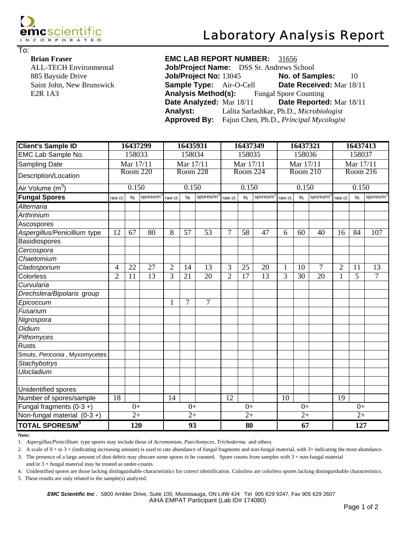

To:

## **Brian Fraser E**

Saint John, New Brunswick E<sub>2</sub>R 1A<sub>3</sub> ALL-TECH Environmental 885 Bayside Drive

| Job/Project Name: DSS St. Andrews School         |                                                             |      |
|--------------------------------------------------|-------------------------------------------------------------|------|
| Job/Project No: 13045                            | No. of Samples:                                             | - 10 |
| <b>Sample Type:</b> Air-O-Cell                   | Date Received: Mar 18/11                                    |      |
| <b>Analysis Method(s):</b> Fungal Spore Counting |                                                             |      |
| Date Analyzed: Mar 18/11                         | Date Reported: Mar 18/11                                    |      |
| Analyst:                                         | Lalita Sarlashkar, Ph.D., Microbiologist                    |      |
|                                                  | <b>Approved By:</b> Fajun Chen, Ph.D., Principal Mycologist |      |

| <b>Client's Sample ID</b>     | 16437299       |                 | 16435931  |                |                | 16437349              |                |      | 16437321              |        |      | 16437413  |                |                 |                |
|-------------------------------|----------------|-----------------|-----------|----------------|----------------|-----------------------|----------------|------|-----------------------|--------|------|-----------|----------------|-----------------|----------------|
| EMC Lab Sample No.            | 158033         |                 | 158034    |                |                | 158035                |                |      | 158036                |        |      | 158037    |                |                 |                |
| <b>Sampling Date</b>          | Mar 17/11      |                 | Mar 17/11 |                |                | Mar 17/11             |                |      | Mar 17/11             |        |      | Mar 17/11 |                |                 |                |
| Description/Location          | Room 220       |                 | Room 228  |                |                | Room 224              |                |      | Room 210              |        |      | Room 216  |                |                 |                |
| Air Volume (m <sup>3</sup> )  |                | 0.150           |           | 0.150          |                |                       | 0.150          |      |                       | 0.150  |      |           |                | 0.150           |                |
| <b>Fungal Spores</b>          | raw ct         | $\%$            | spores/m  | raw ct.        | $\frac{0}{0}$  | spores/m <sup>3</sup> | raw ct.        | $\%$ | spores/m <sup>3</sup> | raw ct | $\%$ | spores/m  | raw ct.        | $\frac{0}{0}$   | spores/ $m3$   |
| Alternaria                    |                |                 |           |                |                |                       |                |      |                       |        |      |           |                |                 |                |
| <b>Arthrinium</b>             |                |                 |           |                |                |                       |                |      |                       |        |      |           |                |                 |                |
| Ascospores                    |                |                 |           |                |                |                       |                |      |                       |        |      |           |                |                 |                |
| Aspergillus/Penicillium type  | 12             | 67              | 80        | 8              | 57             | 53                    | 7              | 58   | 47                    | 6      | 60   | 40        | 16             | 84              | 107            |
| Basidiospores                 |                |                 |           |                |                |                       |                |      |                       |        |      |           |                |                 |                |
| Cercospora                    |                |                 |           |                |                |                       |                |      |                       |        |      |           |                |                 |                |
| Chaetomium                    |                |                 |           |                |                |                       |                |      |                       |        |      |           |                |                 |                |
| Cladosporium                  | 4              | 22              | 27        | $\overline{2}$ | 14             | 13                    | 3              | 25   | 20                    | 1      | 10   | 7         | $\overline{2}$ | 11              | 13             |
| Colorless                     | $\overline{2}$ | 11              | 13        | 3              | 21             | 20                    | $\overline{2}$ | 17   | 13                    | 3      | 30   | 20        | $\mathbf{1}$   | 5               | $\overline{7}$ |
| Curvularia                    |                |                 |           |                |                |                       |                |      |                       |        |      |           |                |                 |                |
| Drechslera/Bipolaris group    |                |                 |           |                |                |                       |                |      |                       |        |      |           |                |                 |                |
| Epicoccum                     |                |                 |           | 1              | $\overline{7}$ | $\overline{7}$        |                |      |                       |        |      |           |                |                 |                |
| Fusarium                      |                |                 |           |                |                |                       |                |      |                       |        |      |           |                |                 |                |
| Nigrospora                    |                |                 |           |                |                |                       |                |      |                       |        |      |           |                |                 |                |
| Oidium                        |                |                 |           |                |                |                       |                |      |                       |        |      |           |                |                 |                |
| Pithomyces                    |                |                 |           |                |                |                       |                |      |                       |        |      |           |                |                 |                |
| <b>Rusts</b>                  |                |                 |           |                |                |                       |                |      |                       |        |      |           |                |                 |                |
| Smuts, Periconia, Myxomycetes |                |                 |           |                |                |                       |                |      |                       |        |      |           |                |                 |                |
| Stachybotrys                  |                |                 |           |                |                |                       |                |      |                       |        |      |           |                |                 |                |
| Ulocladium                    |                |                 |           |                |                |                       |                |      |                       |        |      |           |                |                 |                |
|                               |                |                 |           |                |                |                       |                |      |                       |        |      |           |                |                 |                |
| Unidentified spores           |                |                 |           |                |                |                       |                |      |                       |        |      |           |                |                 |                |
| Number of spores/sample       | 18             |                 |           | 14             |                |                       | 12             |      |                       | 10     |      |           | 19             |                 |                |
| Fungal fragments $(0-3 +)$    |                | $0+$            |           |                | $0+$           |                       |                | $0+$ |                       |        | $0+$ |           |                | $0+$            |                |
| Non-fungal material $(0-3 +)$ |                | $\overline{2+}$ |           |                | $2+$           |                       |                | $2+$ |                       |        | $2+$ |           |                | $\overline{2+}$ |                |
| <b>TOTAL SPORES/M3</b>        |                | 120             |           |                | 93             |                       |                | 80   |                       |        | 67   |           |                | 127             |                |

**Note:** 

1. *Aspergillus/Penicillium* type spores may include those of *Acremonium, Paecilomyces, Trichoderma* and others.

2. A scale of 0 + to 3 + (indicating increasing amount) is used to rate abundance of fungal fragments and non-fungal material, with 3+ indicating the most abundance.

3. The presence of a large amount of dust debris may obscure some spores to be counted. Spore counts from samples with 3 + non-fungal material and/or 3 + fungal material may be treated as under-counts.

4. Unidentified spores are those lacking distinguishable characteristics for correct identification. Colorless are colorless spores lacking distinguishable characteristics.

5. These results are only related to the sample(s) analyzed.